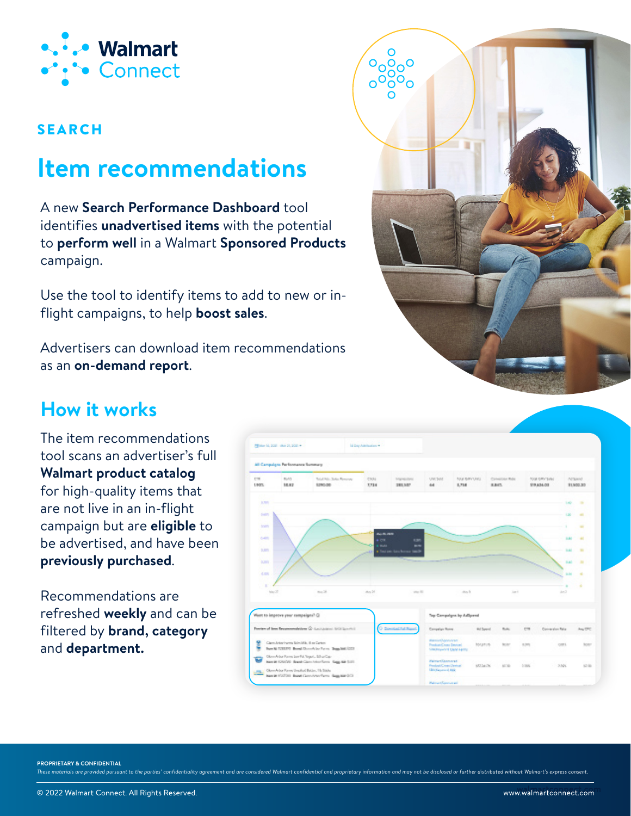

#### SEARCH

# **Item recommendations**

A new **Search Performance Dashboard** tool identifies **unadvertised items** with the potential to **perform well** in a Walmart **Sponsored Products** campaign.

Use the tool to identify items to add to new or inflight campaigns, to help **boost sales**.

Advertisers can download item recommendations as an **on-demand report**.



### **How it works**

The item recommendations tool scans an advertiser's full **Walmart product catalog** for high-quality items that are not live in an in-flight campaign but are **eligible** to be advertised, and have been **previously purchased**.

Recommendations are refreshed **weekly** and can be filtered by **brand, category**  and **department.**



**PROPRIETARY & CONFIDENTIAL**

These materials are provided pursuant to the parties' confidentiality agreement and are considered Walmart confidential and proprietary information and may not be disclosed or further distributed without Walmart's express